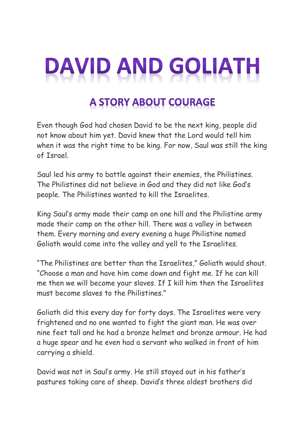## DAVID AND GOLIATH

## **A STORY ABOUT COURAGE**

Even though God had chosen David to be the next king, people did not know about him yet. David knew that the Lord would tell him when it was the right time to be king. For now, Saul was still the king of Israel.

Saul led his army to battle against their enemies, the Philistines. The Philistines did not believe in God and they did not like God's people. The Philistines wanted to kill the Israelites.

King Saul's army made their camp on one hill and the Philistine army made their camp on the other hill. There was a valley in between them. Every morning and every evening a huge Philistine named Goliath would come into the valley and yell to the Israelites.

"The Philistines are better than the Israelites," Goliath would shout. "Choose a man and have him come down and fight me. If he can kill me then we will become your slaves. If I kill him then the Israelites must become slaves to the Philistines."

Goliath did this every day for forty days. The Israelites were very frightened and no one wanted to fight the giant man. He was over nine feet tall and he had a bronze helmet and bronze armour. He had a huge spear and he even had a servant who walked in front of him carrying a shield.

David was not in Saul's army. He still stayed out in his father's pastures taking care of sheep. David's three oldest brothers did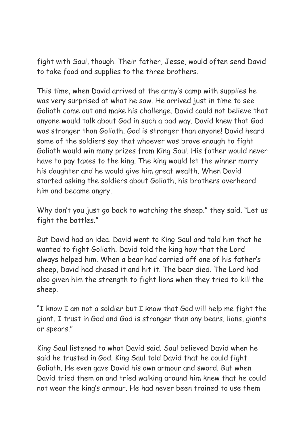fight with Saul, though. Their father, Jesse, would often send David to take food and supplies to the three brothers.

This time, when David arrived at the army's camp with supplies he was very surprised at what he saw. He arrived just in time to see Goliath come out and make his challenge. David could not believe that anyone would talk about God in such a bad way. David knew that God was stronger than Goliath. God is stronger than anyone! David heard some of the soldiers say that whoever was brave enough to fight Goliath would win many prizes from King Saul. His father would never have to pay taxes to the king. The king would let the winner marry his daughter and he would give him great wealth. When David started asking the soldiers about Goliath, his brothers overheard him and became angry.

Why don't you just go back to watching the sheep." they said. "Let us fight the battles."

But David had an idea. David went to King Saul and told him that he wanted to fight Goliath. David told the king how that the Lord always helped him. When a bear had carried off one of his father's sheep, David had chased it and hit it. The bear died. The Lord had also given him the strength to fight lions when they tried to kill the sheep.

"I know I am not a soldier but I know that God will help me fight the giant. I trust in God and God is stronger than any bears, lions, giants or spears."

King Saul listened to what David said. Saul believed David when he said he trusted in God. King Saul told David that he could fight Goliath. He even gave David his own armour and sword. But when David tried them on and tried walking around him knew that he could not wear the king's armour. He had never been trained to use them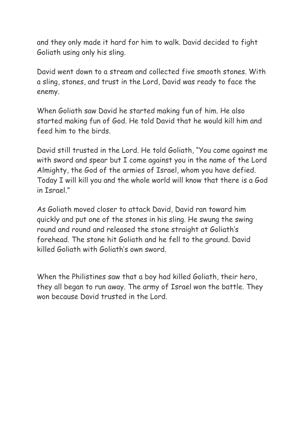and they only made it hard for him to walk. David decided to fight Goliath using only his sling.

David went down to a stream and collected five smooth stones. With a sling, stones, and trust in the Lord, David was ready to face the enemy.

When Goliath saw David he started making fun of him. He also started making fun of God. He told David that he would kill him and feed him to the birds.

David still trusted in the Lord. He told Goliath, "You come against me with sword and spear but I come against you in the name of the Lord Almighty, the God of the armies of Israel, whom you have defied. Today I will kill you and the whole world will know that there is a God in Tsrael"

As Goliath moved closer to attack David, David ran toward him quickly and put one of the stones in his sling. He swung the swing round and round and released the stone straight at Goliath's forehead. The stone hit Goliath and he fell to the ground. David killed Goliath with Goliath's own sword.

When the Philistines saw that a boy had killed Goliath, their hero, they all began to run away. The army of Israel won the battle. They won because David trusted in the Lord.